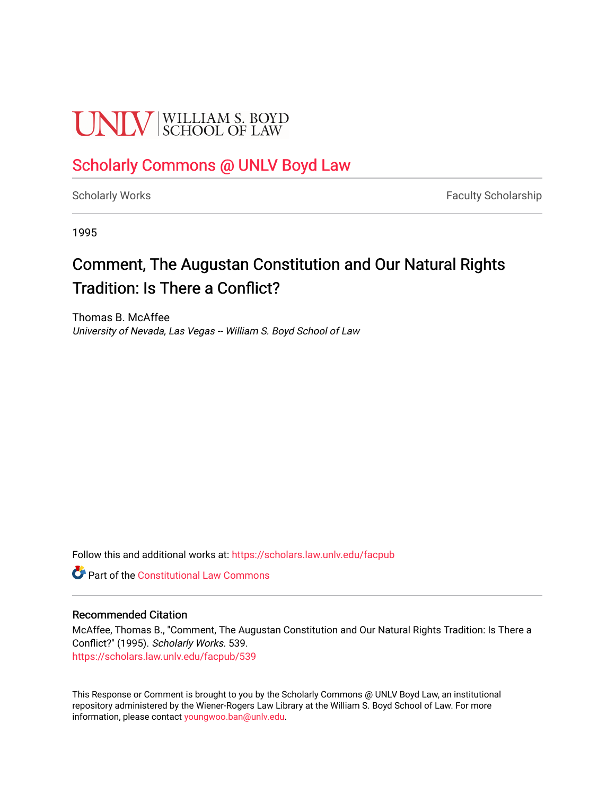# **UNLV** SCHOOL OF LAW

### [Scholarly Commons @ UNLV Boyd Law](https://scholars.law.unlv.edu/)

[Scholarly Works](https://scholars.law.unlv.edu/facpub) **Faculty Scholarship** Faculty Scholarship

1995

### Comment, The Augustan Constitution and Our Natural Rights Tradition: Is There a Conflict?

Thomas B. McAffee University of Nevada, Las Vegas -- William S. Boyd School of Law

Follow this and additional works at: [https://scholars.law.unlv.edu/facpub](https://scholars.law.unlv.edu/facpub?utm_source=scholars.law.unlv.edu%2Ffacpub%2F539&utm_medium=PDF&utm_campaign=PDFCoverPages)

**C** Part of the Constitutional Law Commons

#### Recommended Citation

McAffee, Thomas B., "Comment, The Augustan Constitution and Our Natural Rights Tradition: Is There a Conflict?" (1995). Scholarly Works. 539. [https://scholars.law.unlv.edu/facpub/539](https://scholars.law.unlv.edu/facpub/539?utm_source=scholars.law.unlv.edu%2Ffacpub%2F539&utm_medium=PDF&utm_campaign=PDFCoverPages)

This Response or Comment is brought to you by the Scholarly Commons @ UNLV Boyd Law, an institutional repository administered by the Wiener-Rogers Law Library at the William S. Boyd School of Law. For more information, please contact [youngwoo.ban@unlv.edu](mailto:youngwoo.ban@unlv.edu).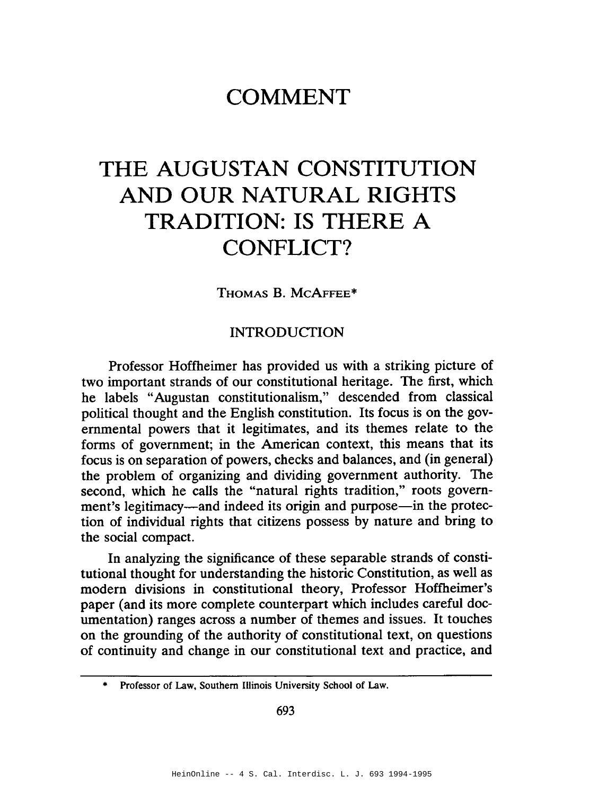### **COMMENT**

## THE AUGUSTAN CONSTITUTION AND OUR NATURAL RIGHTS **TRADITION: IS THERE A CONFLICT?**

THOMAS B. MCAFFEE\*

#### **INTRODUCTION**

Professor Hoffheimer has provided us with a striking picture of two important strands of our constitutional heritage. The first, which he labels "Augustan constitutionalism," descended from classical political thought and the English constitution. Its focus is on the governmental powers that it legitimates, and its themes relate to the forms of government; in the American context, this means that its focus is on separation of powers, checks and balances, and (in general) the problem of organizing and dividing government authority. The second, which he calls the "natural rights tradition," roots government's legitimacy—and indeed its origin and purpose—in the protection of individual rights that citizens possess by nature and bring to the social compact.

In analyzing the significance of these separable strands of constitutional thought for understanding the historic Constitution, as well as modern divisions in constitutional theory, Professor Hoffheimer's paper (and its more complete counterpart which includes careful documentation) ranges across a number of themes and issues. It touches on the grounding of the authority of constitutional text, on questions of continuity and change in our constitutional text and practice, and

<sup>\*</sup> Professor of Law, Southern Illinois University School of Law.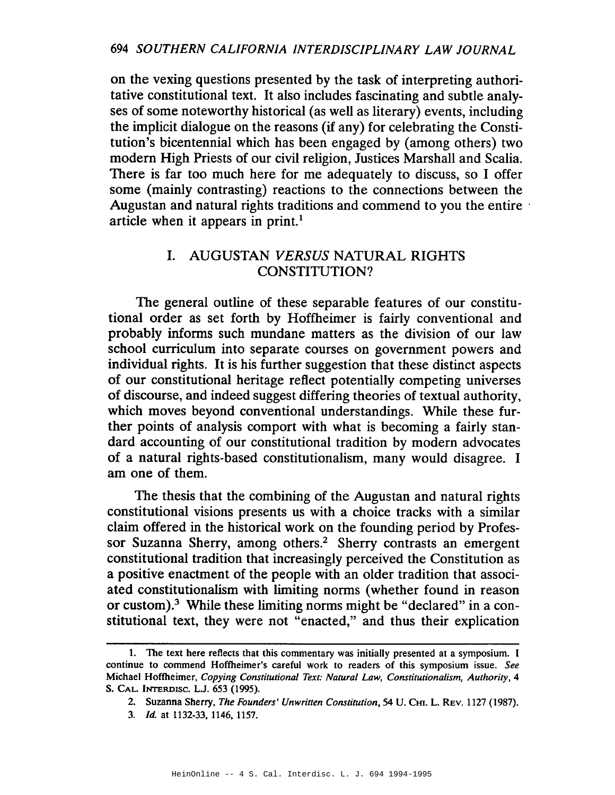on the vexing questions presented by the task of interpreting authoritative constitutional text. It also includes fascinating and subtle analyses of some noteworthy historical (as well as literary) events, including the implicit dialogue on the reasons (if any) for celebrating the Constitution's bicentennial which has been engaged by (among others) two modern High Priests of our civil religion, Justices Marshall and Scalia. There is far too much here for me adequately to discuss, so I offer some (mainly contrasting) reactions to the connections between the Augustan and natural rights traditions and commend to you the entire article when it appears in print.<sup>1</sup>

### I. AUGUSTAN VERSUS NATURAL RIGHTS **CONSTITUTION?**

The general outline of these separable features of our constitutional order as set forth by Hoffheimer is fairly conventional and probably informs such mundane matters as the division of our law school curriculum into separate courses on government powers and individual rights. It is his further suggestion that these distinct aspects of our constitutional heritage reflect potentially competing universes of discourse, and indeed suggest differing theories of textual authority, which moves beyond conventional understandings. While these further points of analysis comport with what is becoming a fairly standard accounting of our constitutional tradition by modern advocates of a natural rights-based constitutionalism, many would disagree. I am one of them.

The thesis that the combining of the Augustan and natural rights constitutional visions presents us with a choice tracks with a similar claim offered in the historical work on the founding period by Professor Suzanna Sherry, among others.<sup>2</sup> Sherry contrasts an emergent constitutional tradition that increasingly perceived the Constitution as a positive enactment of the people with an older tradition that associated constitutionalism with limiting norms (whether found in reason or custom).<sup>3</sup> While these limiting norms might be "declared" in a constitutional text, they were not "enacted," and thus their explication

<sup>1.</sup> The text here reflects that this commentary was initially presented at a symposium. I continue to commend Hoffheimer's careful work to readers of this symposium issue. See Michael Hoffheimer, Copying Constitutional Text: Natural Law, Constitutionalism, Authority, 4 S. CAL. INTERDISC. L.J. 653 (1995).

<sup>2.</sup> Suzanna Sherry, The Founders' Unwritten Constitution, 54 U. CHI. L. REV. 1127 (1987).

<sup>3.</sup> *Id.* at 1132-33, 1146, 1157.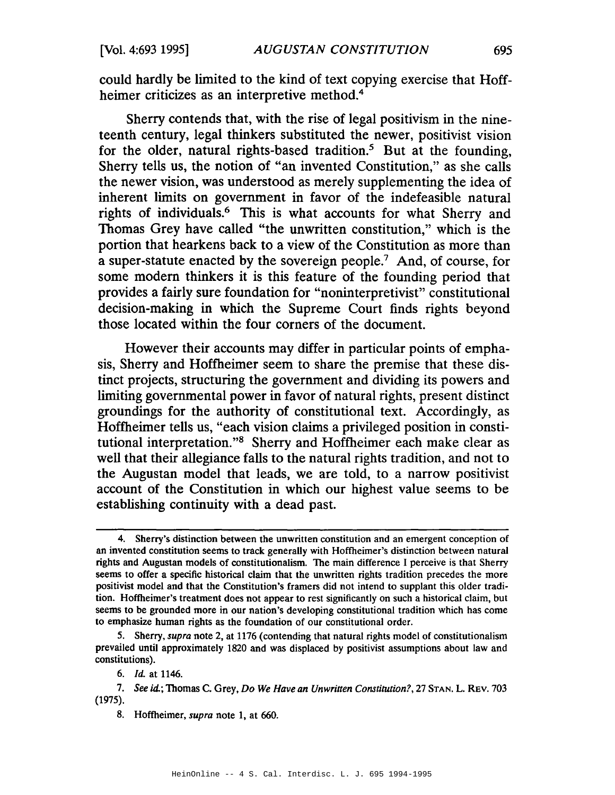could hardly be limited to the kind of text copying exercise that Hoffheimer criticizes as an interpretive method.<sup>4</sup>

Sherry contends that, with the rise of legal positivism in the nineteenth century, legal thinkers substituted the newer, positivist vision for the older, natural rights-based tradition.<sup>5</sup> But at the founding. Sherry tells us, the notion of "an invented Constitution," as she calls the newer vision, was understood as merely supplementing the idea of inherent limits on government in favor of the indefeasible natural rights of individuals.<sup>6</sup> This is what accounts for what Sherry and Thomas Grey have called "the unwritten constitution," which is the portion that hearkens back to a view of the Constitution as more than a super-statute enacted by the sovereign people.<sup>7</sup> And, of course, for some modern thinkers it is this feature of the founding period that provides a fairly sure foundation for "noninterpretivist" constitutional decision-making in which the Supreme Court finds rights beyond those located within the four corners of the document.

However their accounts may differ in particular points of emphasis, Sherry and Hoffheimer seem to share the premise that these distinct projects, structuring the government and dividing its powers and limiting governmental power in favor of natural rights, present distinct groundings for the authority of constitutional text. Accordingly, as Hoffheimer tells us, "each vision claims a privileged position in constitutional interpretation."<sup>8</sup> Sherry and Hoffheimer each make clear as well that their allegiance falls to the natural rights tradition, and not to the Augustan model that leads, we are told, to a narrow positivist account of the Constitution in which our highest value seems to be establishing continuity with a dead past.

<sup>4.</sup> Sherry's distinction between the unwritten constitution and an emergent conception of an invented constitution seems to track generally with Hoffheimer's distinction between natural rights and Augustan models of constitutionalism. The main difference I perceive is that Sherry seems to offer a specific historical claim that the unwritten rights tradition precedes the more positivist model and that the Constitution's framers did not intend to supplant this older tradition. Hoffheimer's treatment does not appear to rest significantly on such a historical claim, but seems to be grounded more in our nation's developing constitutional tradition which has come to emphasize human rights as the foundation of our constitutional order.

<sup>5.</sup> Sherry, supra note 2, at 1176 (contending that natural rights model of constitutionalism prevailed until approximately 1820 and was displaced by positivist assumptions about law and constitutions).

<sup>6.</sup> *Id.* at 1146.

<sup>7.</sup> See id.; Thomas C. Grey, Do We Have an Unwritten Constitution?, 27 STAN. L. REV. 703  $(1975).$ 

<sup>8.</sup> Hoffheimer, *supra* note 1, at 660.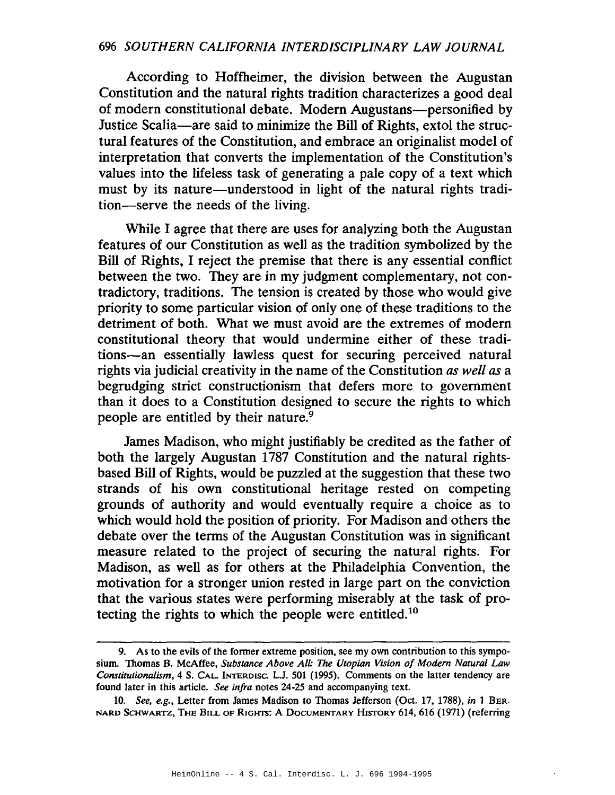#### 696 SOUTHERN CALIFORNIA INTERDISCIPLINARY LAW JOURNAL

According to Hoffheimer, the division between the Augustan Constitution and the natural rights tradition characterizes a good deal of modern constitutional debate. Modern Augustans—personified by Justice Scalia—are said to minimize the Bill of Rights, extol the structural features of the Constitution, and embrace an originalist model of interpretation that converts the implementation of the Constitution's values into the lifeless task of generating a pale copy of a text which must by its nature—understood in light of the natural rights tradition—serve the needs of the living.

While I agree that there are uses for analyzing both the Augustan features of our Constitution as well as the tradition symbolized by the Bill of Rights, I reject the premise that there is any essential conflict between the two. They are in my judgment complementary, not contradictory, traditions. The tension is created by those who would give priority to some particular vision of only one of these traditions to the detriment of both. What we must avoid are the extremes of modern constitutional theory that would undermine either of these traditions-an essentially lawless quest for securing perceived natural rights via judicial creativity in the name of the Constitution as well as a begrudging strict constructionism that defers more to government than it does to a Constitution designed to secure the rights to which people are entitled by their nature.<sup>9</sup>

James Madison, who might justifiably be credited as the father of both the largely Augustan 1787 Constitution and the natural rightsbased Bill of Rights, would be puzzled at the suggestion that these two strands of his own constitutional heritage rested on competing grounds of authority and would eventually require a choice as to which would hold the position of priority. For Madison and others the debate over the terms of the Augustan Constitution was in significant measure related to the project of securing the natural rights. For Madison, as well as for others at the Philadelphia Convention, the motivation for a stronger union rested in large part on the conviction that the various states were performing miserably at the task of protecting the rights to which the people were entitled.<sup>10</sup>

<sup>9.</sup> As to the evils of the former extreme position, see my own contribution to this symposium. Thomas B. McAffee, Substance Above All: The Utopian Vision of Modern Natural Law Constitutionalism, 4 S. CAL. INTERDISC. L.J. 501 (1995). Comments on the latter tendency are found later in this article. See infra notes 24-25 and accompanying text.

<sup>10.</sup> See, e.g., Letter from James Madison to Thomas Jefferson (Oct. 17, 1788), in 1 BER-NARD SCHWARTZ, THE BILL OF RIGHTS: A DOCUMENTARY HISTORY 614, 616 (1971) (referring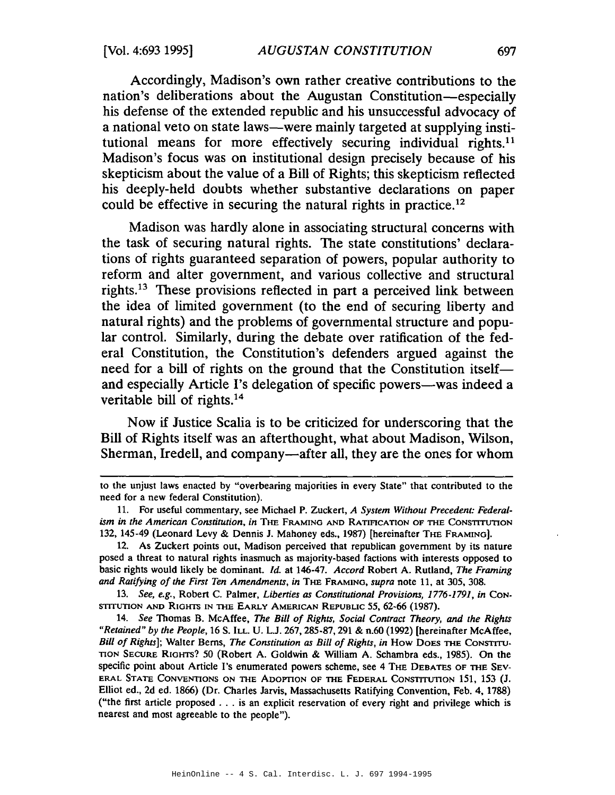Accordingly, Madison's own rather creative contributions to the nation's deliberations about the Augustan Constitution-especially his defense of the extended republic and his unsuccessful advocacy of a national veto on state laws—were mainly targeted at supplying institutional means for more effectively securing individual rights.<sup>11</sup> Madison's focus was on institutional design precisely because of his skepticism about the value of a Bill of Rights; this skepticism reflected his deeply-held doubts whether substantive declarations on paper could be effective in securing the natural rights in practice.<sup>12</sup>

Madison was hardly alone in associating structural concerns with the task of securing natural rights. The state constitutions' declarations of rights guaranteed separation of powers, popular authority to reform and alter government, and various collective and structural rights.<sup>13</sup> These provisions reflected in part a perceived link between the idea of limited government (to the end of securing liberty and natural rights) and the problems of governmental structure and popular control. Similarly, during the debate over ratification of the federal Constitution, the Constitution's defenders argued against the need for a bill of rights on the ground that the Constitution itselfand especially Article I's delegation of specific powers—was indeed a veritable bill of rights.<sup>14</sup>

Now if Justice Scalia is to be criticized for underscoring that the Bill of Rights itself was an afterthought, what about Madison, Wilson, Sherman, Iredell, and company—after all, they are the ones for whom

13. See, e.g., Robert C. Palmer, Liberties as Constitutional Provisions, 1776-1791, in Con-STITUTION AND RIGHTS IN THE EARLY AMERICAN REPUBLIC 55, 62-66 (1987).

14. See Thomas B. McAffee, The Bill of Rights, Social Contract Theory, and the Rights "Retained" by the People, 16 S. ILL. U. L.J. 267, 285-87, 291 & n.60 (1992) [hereinafter McAffee, Bill of Rights]; Walter Berns, The Constitution as Bill of Rights, in How Does THE CONSTITU-TION SECURE RIGHTS? 50 (Robert A. Goldwin & William A. Schambra eds., 1985). On the specific point about Article I's enumerated powers scheme, see 4 THE DEBATES OF THE SEV-ERAL STATE CONVENTIONS ON THE ADOPTION OF THE FEDERAL CONSTITUTION 151, 153 (J. Elliot ed., 2d ed. 1866) (Dr. Charles Jarvis, Massachusetts Ratifying Convention, Feb. 4, 1788) ("the first article proposed . . . is an explicit reservation of every right and privilege which is nearest and most agreeable to the people").

to the unjust laws enacted by "overbearing majorities in every State" that contributed to the need for a new federal Constitution).

<sup>11.</sup> For useful commentary, see Michael P. Zuckert, A System Without Precedent: Federalism in the American Constitution, in THE FRAMING AND RATIFICATION OF THE CONSTITUTION 132, 145-49 (Leonard Levy & Dennis J. Mahoney eds., 1987) [hereinafter THE FRAMING].

<sup>12.</sup> As Zuckert points out, Madison perceived that republican government by its nature posed a threat to natural rights inasmuch as majority-based factions with interests opposed to basic rights would likely be dominant. Id. at 146-47. Accord Robert A. Rutland, The Framing and Ratifying of the First Ten Amendments, in THE FRAMING, supra note 11, at 305, 308.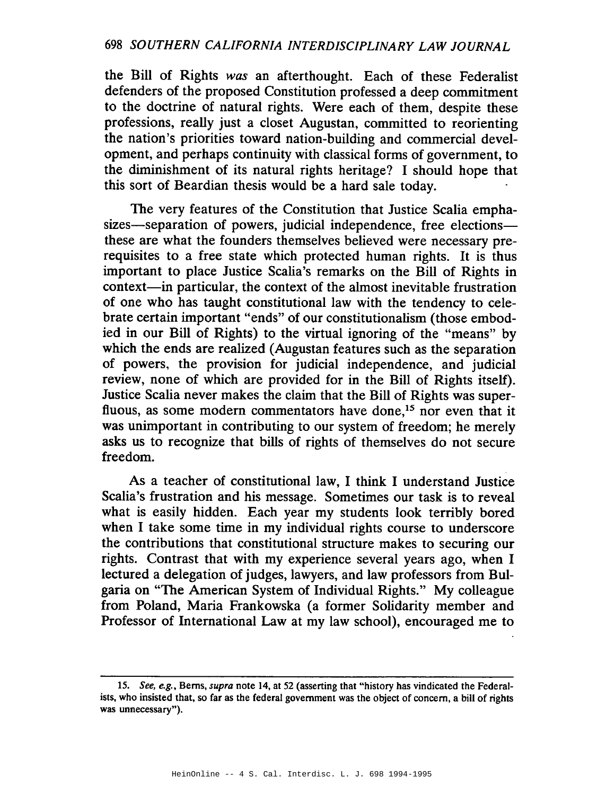the Bill of Rights was an afterthought. Each of these Federalist defenders of the proposed Constitution professed a deep commitment to the doctrine of natural rights. Were each of them, despite these professions, really just a closet Augustan, committed to reorienting the nation's priorities toward nation-building and commercial development, and perhaps continuity with classical forms of government, to the diminishment of its natural rights heritage? I should hope that this sort of Beardian thesis would be a hard sale today.

The very features of the Constitution that Justice Scalia emphasizes—separation of powers, judicial independence, free elections these are what the founders themselves believed were necessary prerequisites to a free state which protected human rights. It is thus important to place Justice Scalia's remarks on the Bill of Rights in context—in particular, the context of the almost inevitable frustration of one who has taught constitutional law with the tendency to celebrate certain important "ends" of our constitutionalism (those embodied in our Bill of Rights) to the virtual ignoring of the "means" by which the ends are realized (Augustan features such as the separation of powers, the provision for judicial independence, and judicial review, none of which are provided for in the Bill of Rights itself). Justice Scalia never makes the claim that the Bill of Rights was superfluous, as some modern commentators have done,<sup>15</sup> nor even that it was unimportant in contributing to our system of freedom; he merely asks us to recognize that bills of rights of themselves do not secure freedom.

As a teacher of constitutional law, I think I understand Justice Scalia's frustration and his message. Sometimes our task is to reveal what is easily hidden. Each year my students look terribly bored when I take some time in my individual rights course to underscore the contributions that constitutional structure makes to securing our rights. Contrast that with my experience several years ago, when I lectured a delegation of judges, lawyers, and law professors from Bulgaria on "The American System of Individual Rights." My colleague from Poland, Maria Frankowska (a former Solidarity member and Professor of International Law at my law school), encouraged me to

<sup>15.</sup> See, e.g., Berns, supra note 14, at 52 (asserting that "history has vindicated the Federalists, who insisted that, so far as the federal government was the object of concern, a bill of rights was unnecessary").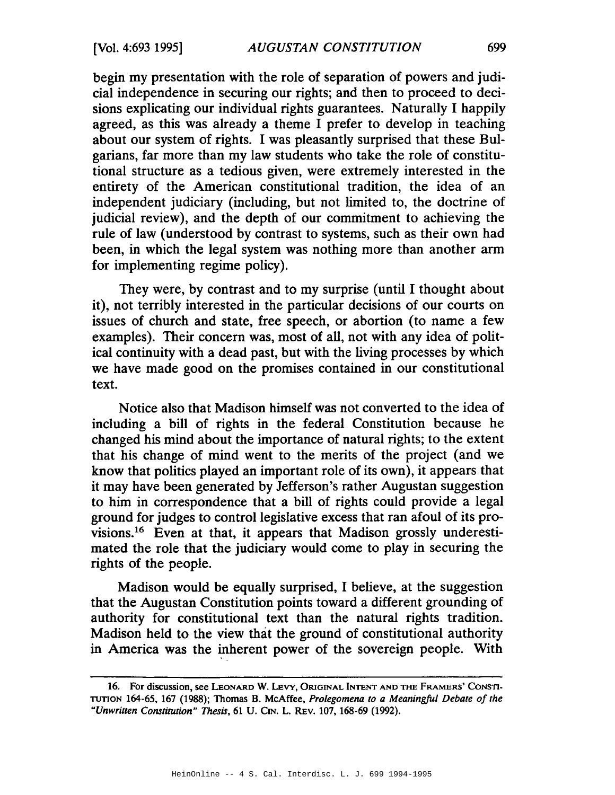begin my presentation with the role of separation of powers and judicial independence in securing our rights; and then to proceed to decisions explicating our individual rights guarantees. Naturally I happily agreed, as this was already a theme I prefer to develop in teaching about our system of rights. I was pleasantly surprised that these Bulgarians, far more than my law students who take the role of constitutional structure as a tedious given, were extremely interested in the entirety of the American constitutional tradition, the idea of an independent judiciary (including, but not limited to, the doctrine of judicial review), and the depth of our commitment to achieving the rule of law (understood by contrast to systems, such as their own had been, in which the legal system was nothing more than another arm for implementing regime policy).

They were, by contrast and to my surprise (until I thought about it), not terribly interested in the particular decisions of our courts on issues of church and state, free speech, or abortion (to name a few examples). Their concern was, most of all, not with any idea of political continuity with a dead past, but with the living processes by which we have made good on the promises contained in our constitutional text.

Notice also that Madison himself was not converted to the idea of including a bill of rights in the federal Constitution because he changed his mind about the importance of natural rights; to the extent that his change of mind went to the merits of the project (and we know that politics played an important role of its own), it appears that it may have been generated by Jefferson's rather Augustan suggestion to him in correspondence that a bill of rights could provide a legal ground for judges to control legislative excess that ran afoul of its provisions.<sup>16</sup> Even at that, it appears that Madison grossly underestimated the role that the judiciary would come to play in securing the rights of the people.

Madison would be equally surprised, I believe, at the suggestion that the Augustan Constitution points toward a different grounding of authority for constitutional text than the natural rights tradition. Madison held to the view that the ground of constitutional authority in America was the inherent power of the sovereign people. With

<sup>16.</sup> For discussion, see LEONARD W. LEVY, ORIGINAL INTENT AND THE FRAMERS' CONSTI-TUTION 164-65, 167 (1988); Thomas B. McAffee, Prolegomena to a Meaningful Debate of the "Unwritten Constitution" Thesis, 61 U. CIN. L. REV. 107, 168-69 (1992).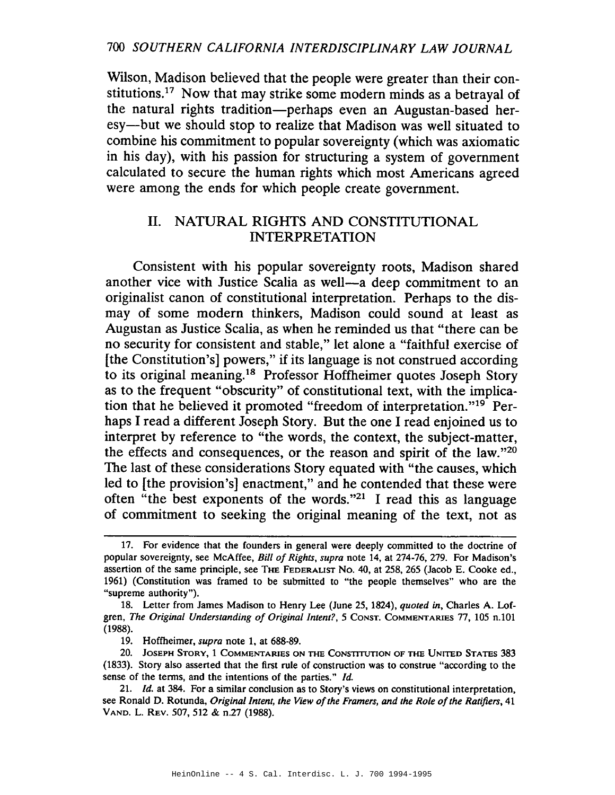Wilson, Madison believed that the people were greater than their constitutions.<sup>17</sup> Now that may strike some modern minds as a betrayal of the natural rights tradition—perhaps even an Augustan-based heresy—but we should stop to realize that Madison was well situated to combine his commitment to popular sovereignty (which was axiomatic in his day), with his passion for structuring a system of government calculated to secure the human rights which most Americans agreed were among the ends for which people create government.

#### $\Pi$ . NATURAL RIGHTS AND CONSTITUTIONAL **INTERPRETATION**

Consistent with his popular sovereignty roots, Madison shared another vice with Justice Scalia as well-a deep commitment to an originalist canon of constitutional interpretation. Perhaps to the dismay of some modern thinkers, Madison could sound at least as Augustan as Justice Scalia, as when he reminded us that "there can be no security for consistent and stable," let alone a "faithful exercise of [the Constitution's] powers," if its language is not construed according to its original meaning.<sup>18</sup> Professor Hoffheimer quotes Joseph Story as to the frequent "obscurity" of constitutional text, with the implication that he believed it promoted "freedom of interpretation."<sup>19</sup> Perhaps I read a different Joseph Story. But the one I read enjoined us to interpret by reference to "the words, the context, the subject-matter, the effects and consequences, or the reason and spirit of the law."20 The last of these considerations Story equated with "the causes, which led to [the provision's] enactment," and he contended that these were often "the best exponents of the words."<sup>21</sup> I read this as language of commitment to seeking the original meaning of the text, not as

<sup>17.</sup> For evidence that the founders in general were deeply committed to the doctrine of popular sovereignty, see McAffee, Bill of Rights, supra note 14, at 274-76, 279. For Madison's assertion of the same principle, see THE FEDERALIST No. 40, at 258, 265 (Jacob E. Cooke ed., 1961) (Constitution was framed to be submitted to "the people themselves" who are the "supreme authority").

<sup>18.</sup> Letter from James Madison to Henry Lee (June 25, 1824), quoted in, Charles A. Lofgren, The Original Understanding of Original Intent?, 5 CONST. COMMENTARIES 77, 105 n.101  $(1988).$ 

<sup>19.</sup> Hoffheimer, supra note 1, at 688-89.

<sup>20.</sup> JOSEPH STORY, 1 COMMENTARIES ON THE CONSTITUTION OF THE UNITED STATES 383 (1833). Story also asserted that the first rule of construction was to construe "according to the sense of the terms, and the intentions of the parties." Id.

<sup>21.</sup> *Id.* at 384. For a similar conclusion as to Story's views on constitutional interpretation, see Ronald D. Rotunda, Original Intent, the View of the Framers, and the Role of the Ratifiers, 41 VAND. L. REV. 507, 512 & n.27 (1988).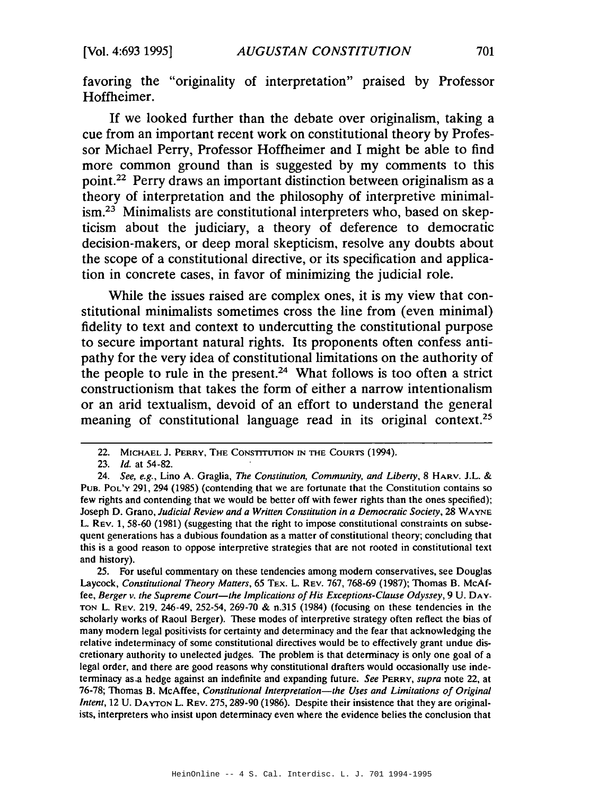favoring the "originality of interpretation" praised by Professor Hoffheimer.

If we looked further than the debate over originalism, taking a cue from an important recent work on constitutional theory by Professor Michael Perry, Professor Hoffheimer and I might be able to find more common ground than is suggested by my comments to this point.<sup>22</sup> Perry draws an important distinction between originalism as a theory of interpretation and the philosophy of interpretive minimalism.<sup>23</sup> Minimalists are constitutional interpreters who, based on skepticism about the judiciary, a theory of deference to democratic decision-makers, or deep moral skepticism, resolve any doubts about the scope of a constitutional directive, or its specification and application in concrete cases, in favor of minimizing the judicial role.

While the issues raised are complex ones, it is my view that constitutional minimalists sometimes cross the line from (even minimal) fidelity to text and context to undercutting the constitutional purpose to secure important natural rights. Its proponents often confess antipathy for the very idea of constitutional limitations on the authority of the people to rule in the present.<sup>24</sup> What follows is too often a strict constructionism that takes the form of either a narrow intentionalism or an arid textualism, devoid of an effort to understand the general meaning of constitutional language read in its original context.<sup>25</sup>

25. For useful commentary on these tendencies among modern conservatives, see Douglas Laycock, Constitutional Theory Matters, 65 TEx. L. REV. 767, 768-69 (1987); Thomas B. McAffee, Berger v. the Supreme Court—the Implications of His Exceptions-Clause Odyssey, 9 U. DAY-TON L. REV. 219, 246-49, 252-54, 269-70 & n.315 (1984) (focusing on these tendencies in the scholarly works of Raoul Berger). These modes of interpretive strategy often reflect the bias of many modern legal positivists for certainty and determinacy and the fear that acknowledging the relative indeterminacy of some constitutional directives would be to effectively grant undue discretionary authority to unelected judges. The problem is that determinacy is only one goal of a legal order, and there are good reasons why constitutional drafters would occasionally use indeterminacy as a hedge against an indefinite and expanding future. See PERRY, supra note 22, at 76-78; Thomas B. McAffee, Constitutional Interpretation—the Uses and Limitations of Original Intent, 12 U. DAYTON L. REV. 275, 289-90 (1986). Despite their insistence that they are originalists, interpreters who insist upon determinacy even where the evidence belies the conclusion that

<sup>22.</sup> MICHAEL J. PERRY, THE CONSTITUTION IN THE COURTS (1994).

<sup>23.</sup> *Id.* at 54-82.

<sup>24.</sup> See, e.g., Lino A. Graglia, The Constitution, Community, and Liberty, 8 HARV. J.L. & PUB. POL'Y 291, 294 (1985) (contending that we are fortunate that the Constitution contains so few rights and contending that we would be better off with fewer rights than the ones specified); Joseph D. Grano, Judicial Review and a Written Constitution in a Democratic Society, 28 WAYNE L. REV. 1, 58-60 (1981) (suggesting that the right to impose constitutional constraints on subsequent generations has a dubious foundation as a matter of constitutional theory; concluding that this is a good reason to oppose interpretive strategies that are not rooted in constitutional text and history).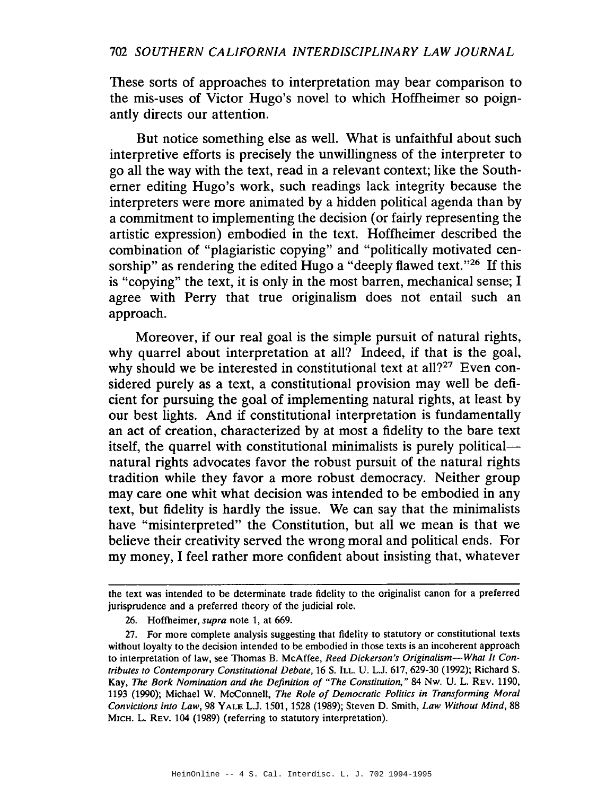#### 702 SOUTHERN CALIFORNIA INTERDISCIPLINARY LAW JOURNAL

These sorts of approaches to interpretation may bear comparison to the mis-uses of Victor Hugo's novel to which Hoffheimer so poignantly directs our attention.

But notice something else as well. What is unfaithful about such interpretive efforts is precisely the unwillingness of the interpreter to go all the way with the text, read in a relevant context; like the Southerner editing Hugo's work, such readings lack integrity because the interpreters were more animated by a hidden political agenda than by a commitment to implementing the decision (or fairly representing the artistic expression) embodied in the text. Hoffheimer described the combination of "plagiaristic copying" and "politically motivated censorship" as rendering the edited Hugo a "deeply flawed text."<sup>26</sup> If this is "copying" the text, it is only in the most barren, mechanical sense; I agree with Perry that true originalism does not entail such an approach.

Moreover, if our real goal is the simple pursuit of natural rights, why quarrel about interpretation at all? Indeed, if that is the goal, why should we be interested in constitutional text at all?<sup>27</sup> Even considered purely as a text, a constitutional provision may well be deficient for pursuing the goal of implementing natural rights, at least by our best lights. And if constitutional interpretation is fundamentally an act of creation, characterized by at most a fidelity to the bare text itself, the quarrel with constitutional minimalists is purely political natural rights advocates favor the robust pursuit of the natural rights tradition while they favor a more robust democracy. Neither group may care one whit what decision was intended to be embodied in any text, but fidelity is hardly the issue. We can say that the minimalists have "misinterpreted" the Constitution, but all we mean is that we believe their creativity served the wrong moral and political ends. For my money, I feel rather more confident about insisting that, whatever

the text was intended to be determinate trade fidelity to the originalist canon for a preferred jurisprudence and a preferred theory of the judicial role.

<sup>26.</sup> Hoffheimer, supra note 1, at 669.

<sup>27.</sup> For more complete analysis suggesting that fidelity to statutory or constitutional texts without loyalty to the decision intended to be embodied in those texts is an incoherent approach to interpretation of law, see Thomas B. McAffee, Reed Dickerson's Originalism—What It Contributes to Contemporary Constitutional Debate, 16 S. ILL. U. L.J. 617, 629-30 (1992); Richard S. Kay, The Bork Nomination and the Definition of "The Constitution," 84 Nw. U. L. REV. 1190, 1193 (1990); Michael W. McConnell, The Role of Democratic Politics in Transforming Moral Convictions into Law, 98 YALE L.J. 1501, 1528 (1989); Steven D. Smith, Law Without Mind, 88 Місн. L. Rev. 104 (1989) (referring to statutory interpretation).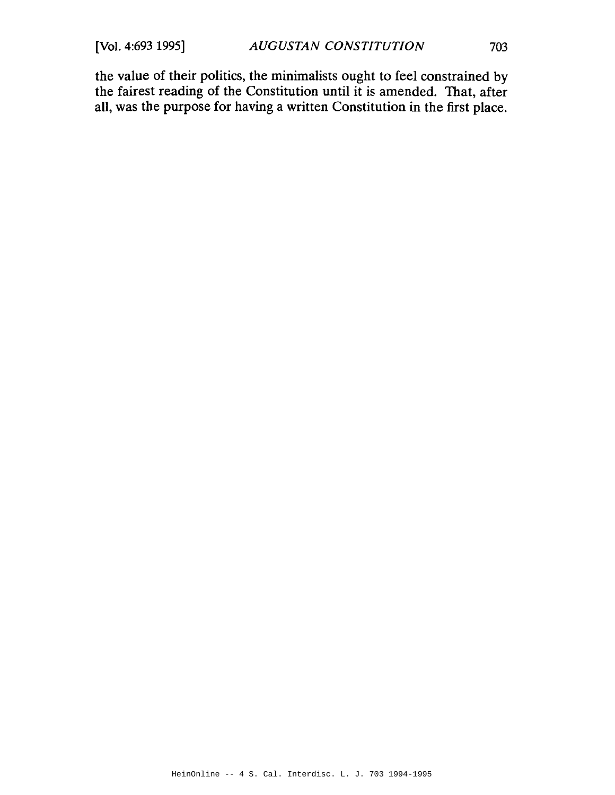the value of their politics, the minimalists ought to feel constrained by the fairest reading of the Constitution until it is amended. That, after all, was the purpose for having a written Constitution in the first place.